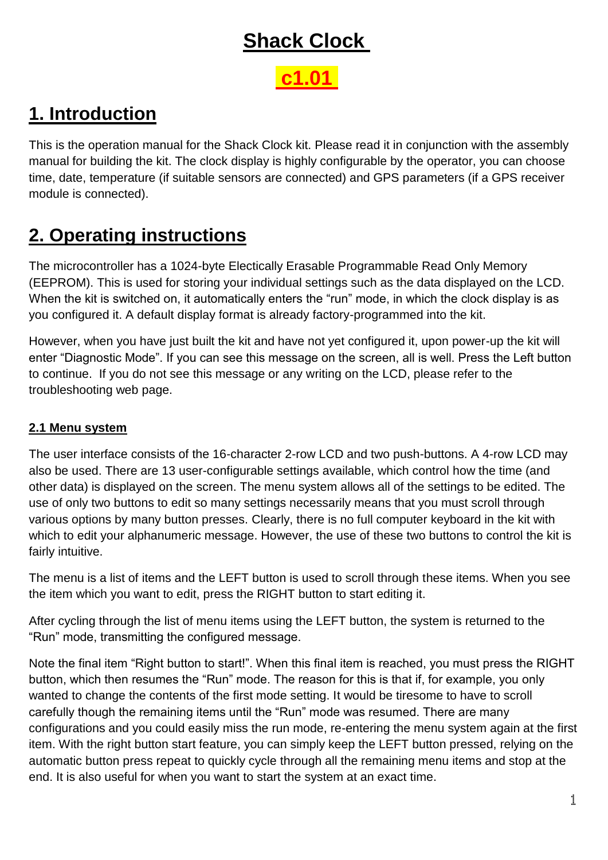## **Shack Clock**

**c1.01**

### **1. Introduction**

This is the operation manual for the Shack Clock kit. Please read it in conjunction with the assembly manual for building the kit. The clock display is highly configurable by the operator, you can choose time, date, temperature (if suitable sensors are connected) and GPS parameters (if a GPS receiver module is connected).

### **2. Operating instructions**

The microcontroller has a 1024-byte Electically Erasable Programmable Read Only Memory (EEPROM). This is used for storing your individual settings such as the data displayed on the LCD. When the kit is switched on, it automatically enters the "run" mode, in which the clock display is as you configured it. A default display format is already factory-programmed into the kit.

However, when you have just built the kit and have not yet configured it, upon power-up the kit will enter "Diagnostic Mode". If you can see this message on the screen, all is well. Press the Left button to continue. If you do not see this message or any writing on the LCD, please refer to the troubleshooting web page.

### **2.1 Menu system**

The user interface consists of the 16-character 2-row LCD and two push-buttons. A 4-row LCD may also be used. There are 13 user-configurable settings available, which control how the time (and other data) is displayed on the screen. The menu system allows all of the settings to be edited. The use of only two buttons to edit so many settings necessarily means that you must scroll through various options by many button presses. Clearly, there is no full computer keyboard in the kit with which to edit your alphanumeric message. However, the use of these two buttons to control the kit is fairly intuitive.

The menu is a list of items and the LEFT button is used to scroll through these items. When you see the item which you want to edit, press the RIGHT button to start editing it.

After cycling through the list of menu items using the LEFT button, the system is returned to the "Run" mode, transmitting the configured message.

Note the final item "Right button to start!". When this final item is reached, you must press the RIGHT button, which then resumes the "Run" mode. The reason for this is that if, for example, you only wanted to change the contents of the first mode setting. It would be tiresome to have to scroll carefully though the remaining items until the "Run" mode was resumed. There are many configurations and you could easily miss the run mode, re-entering the menu system again at the first item. With the right button start feature, you can simply keep the LEFT button pressed, relying on the automatic button press repeat to quickly cycle through all the remaining menu items and stop at the end. It is also useful for when you want to start the system at an exact time.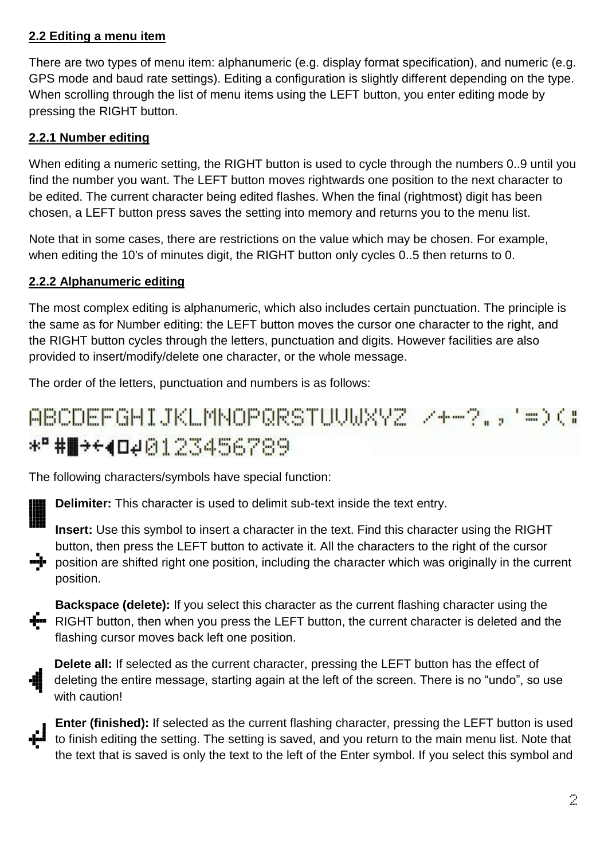### **2.2 Editing a menu item**

There are two types of menu item: alphanumeric (e.g. display format specification), and numeric (e.g. GPS mode and baud rate settings). Editing a configuration is slightly different depending on the type. When scrolling through the list of menu items using the LEFT button, you enter editing mode by pressing the RIGHT button.

### **2.2.1 Number editing**

When editing a numeric setting, the RIGHT button is used to cycle through the numbers 0..9 until you find the number you want. The LEFT button moves rightwards one position to the next character to be edited. The current character being edited flashes. When the final (rightmost) digit has been chosen, a LEFT button press saves the setting into memory and returns you to the menu list.

Note that in some cases, there are restrictions on the value which may be chosen. For example, when editing the 10's of minutes digit, the RIGHT button only cycles 0..5 then returns to 0.

#### **2.2.2 Alphanumeric editing**

The most complex editing is alphanumeric, which also includes certain punctuation. The principle is the same as for Number editing: the LEFT button moves the cursor one character to the right, and the RIGHT button cycles through the letters, punctuation and digits. However facilities are also provided to insert/modify/delete one character, or the whole message.

The order of the letters, punctuation and numbers is as follows:

# ABCDEFGHIJKLMNOPQRSTUVWXYZ /+-?.,'=)(: \*"##\*\*4020123456789

The following characters/symbols have special function:



**Delimiter:** This character is used to delimit sub-text inside the text entry.

**Insert:** Use this symbol to insert a character in the text. Find this character using the RIGHT button, then press the LEFT button to activate it. All the characters to the right of the cursor position are shifted right one position, including the character which was originally in the current position.

**Backspace (delete):** If you select this character as the current flashing character using the **F** RIGHT button, then when you press the LEFT button, the current character is deleted and the flashing cursor moves back left one position.

**Delete all:** If selected as the current character, pressing the LEFT button has the effect of deleting the entire message, starting again at the left of the screen. There is no "undo", so use with caution!

**Enter (finished):** If selected as the current flashing character, pressing the LEFT button is used to finish editing the setting. The setting is saved, and you return to the main menu list. Note that the text that is saved is only the text to the left of the Enter symbol. If you select this symbol and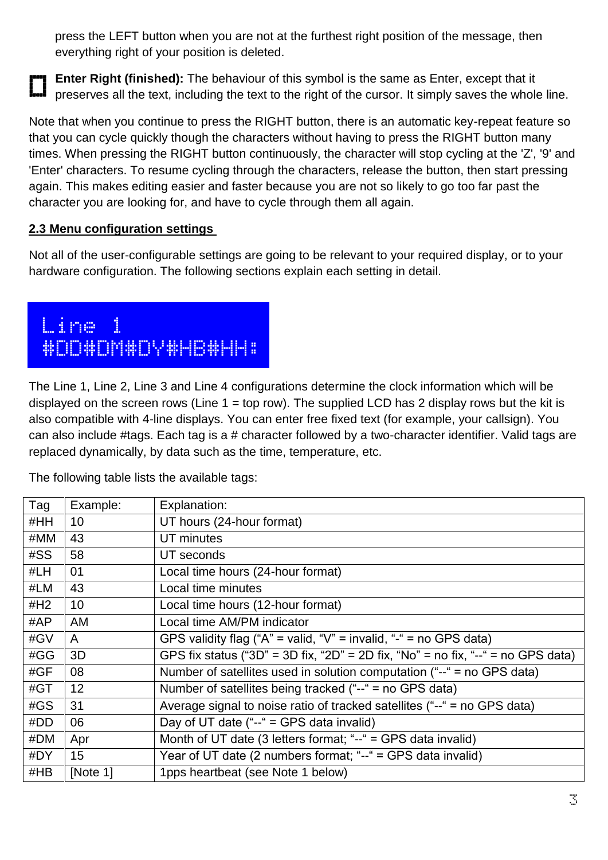press the LEFT button when you are not at the furthest right position of the message, then everything right of your position is deleted.



**Enter Right (finished):** The behaviour of this symbol is the same as Enter, except that it preserves all the text, including the text to the right of the cursor. It simply saves the whole line.

Note that when you continue to press the RIGHT button, there is an automatic key-repeat feature so that you can cycle quickly though the characters without having to press the RIGHT button many times. When pressing the RIGHT button continuously, the character will stop cycling at the 'Z', '9' and 'Enter' characters. To resume cycling through the characters, release the button, then start pressing again. This makes editing easier and faster because you are not so likely to go too far past the character you are looking for, and have to cycle through them all again.

### **2.3 Menu configuration settings**

Not all of the user-configurable settings are going to be relevant to your required display, or to your hardware configuration. The following sections explain each setting in detail.

### Line 1 #DD#DM#DY#HB#HH:

The Line 1, Line 2, Line 3 and Line 4 configurations determine the clock information which will be displayed on the screen rows (Line  $1 = top row$ ). The supplied LCD has 2 display rows but the kit is also compatible with 4-line displays. You can enter free fixed text (for example, your callsign). You can also include #tags. Each tag is a # character followed by a two-character identifier. Valid tags are replaced dynamically, by data such as the time, temperature, etc.

The following table lists the available tags:

| Tag | Example:        | Explanation:                                                                     |
|-----|-----------------|----------------------------------------------------------------------------------|
| #HH | 10              | UT hours (24-hour format)                                                        |
| #MM | 43              | UT minutes                                                                       |
| #SS | 58              | UT seconds                                                                       |
| #LH | 01              | Local time hours (24-hour format)                                                |
| #LM | 43              | Local time minutes                                                               |
| #H2 | 10 <sup>°</sup> | Local time hours (12-hour format)                                                |
| #AP | AM              | Local time AM/PM indicator                                                       |
| #GV | A               | GPS validity flag ("A" = valid, " $V$ " = invalid, "-" = no GPS data)            |
| #GG | 3D              | GPS fix status ("3D" = 3D fix, "2D" = 2D fix, "No" = no fix, "--" = no GPS data) |
| #GF | 08              | Number of satellites used in solution computation ("--" = no GPS data)           |
| #GT | 12              | Number of satellites being tracked ("--" = no GPS data)                          |
| #GS | 31              | Average signal to noise ratio of tracked satellites ("--" = no GPS data)         |
| #DD | 06              | Day of UT date ("--" = GPS data invalid)                                         |
| #DM | Apr             | Month of UT date (3 letters format; "--" = GPS data invalid)                     |
| #DY | 15 <sub>1</sub> | Year of UT date (2 numbers format; "--" = GPS data invalid)                      |
| #HB | [Note 1]        | 1pps heartbeat (see Note 1 below)                                                |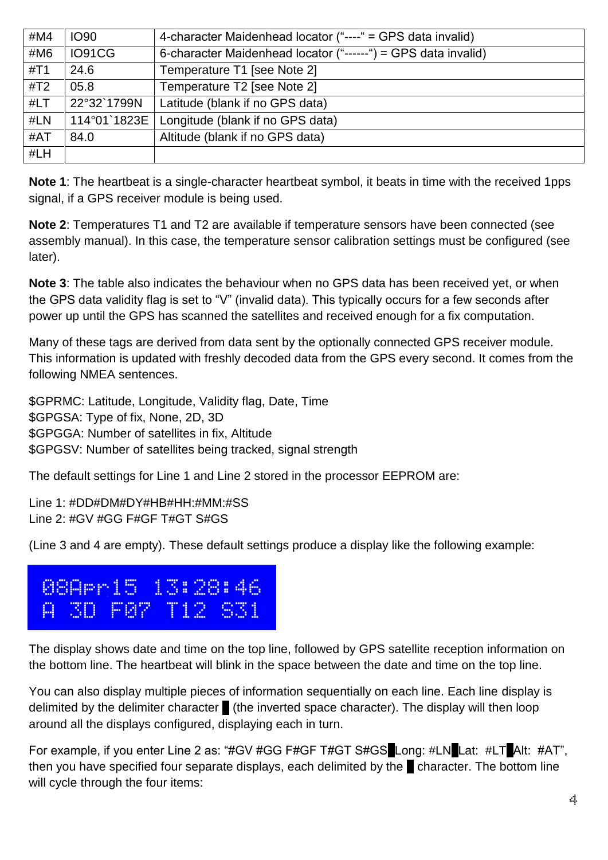| # $M4$ | <b>IO90</b>   | 4-character Maidenhead locator ("----" = GPS data invalid)    |
|--------|---------------|---------------------------------------------------------------|
| #M6    | <b>IO91CG</b> | 6-character Maidenhead locator ("------") = GPS data invalid) |
| #T1    | 24.6          | Temperature T1 [see Note 2]                                   |
| #T2    | 05.8          | Temperature T2 [see Note 2]                                   |
| #LT    | 22°32`1799N   | Latitude (blank if no GPS data)                               |
| #LN    | 114°01`1823E  | Longitude (blank if no GPS data)                              |
| #AT    | 84.0          | Altitude (blank if no GPS data)                               |
| #LH    |               |                                                               |

**Note 1**: The heartbeat is a single-character heartbeat symbol, it beats in time with the received 1pps signal, if a GPS receiver module is being used.

**Note 2**: Temperatures T1 and T2 are available if temperature sensors have been connected (see assembly manual). In this case, the temperature sensor calibration settings must be configured (see later).

**Note 3**: The table also indicates the behaviour when no GPS data has been received yet, or when the GPS data validity flag is set to "V" (invalid data). This typically occurs for a few seconds after power up until the GPS has scanned the satellites and received enough for a fix computation.

Many of these tags are derived from data sent by the optionally connected GPS receiver module. This information is updated with freshly decoded data from the GPS every second. It comes from the following NMEA sentences.

\$GPRMC: Latitude, Longitude, Validity flag, Date, Time \$GPGSA: Type of fix, None, 2D, 3D \$GPGGA: Number of satellites in fix, Altitude \$GPGSV: Number of satellites being tracked, signal strength

The default settings for Line 1 and Line 2 stored in the processor EEPROM are:

Line 1: #DD#DM#DY#HB#HH:#MM:#SS Line 2: #GV #GG F#GF T#GT S#GS

(Line 3 and 4 are empty). These default settings produce a display like the following example:

# 08Apr15 13:28:46 A 3D F07 T12 S31

The display shows date and time on the top line, followed by GPS satellite reception information on the bottom line. The heartbeat will blink in the space between the date and time on the top line.

You can also display multiple pieces of information sequentially on each line. Each line display is delimited by the delimiter character  $\blacksquare$  (the inverted space character). The display will then loop around all the displays configured, displaying each in turn.

For example, if you enter Line 2 as: "#GV #GG F#GF T#GT S#GS Long: #LN Lat: #LT Alt: #AT", then you have specified four separate displays, each delimited by the character. The bottom line will cycle through the four items: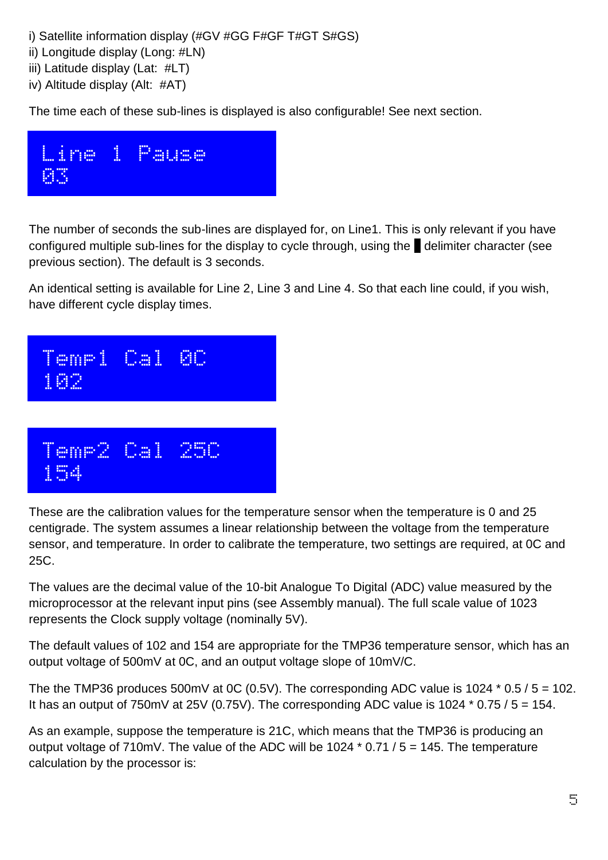i) Satellite information display (#GV #GG F#GF T#GT S#GS)

- ii) Longitude display (Long: #LN)
- iii) Latitude display (Lat: #LT)
- iv) Altitude display (Alt: #AT)

The time each of these sub-lines is displayed is also configurable! See next section.



The number of seconds the sub-lines are displayed for, on Line1. This is only relevant if you have configured multiple sub-lines for the display to cycle through, using the delimiter character (see previous section). The default is 3 seconds.

An identical setting is available for Line 2, Line 3 and Line 4. So that each line could, if you wish, have different cycle display times.



These are the calibration values for the temperature sensor when the temperature is 0 and 25 centigrade. The system assumes a linear relationship between the voltage from the temperature sensor, and temperature. In order to calibrate the temperature, two settings are required, at 0C and 25C.

The values are the decimal value of the 10-bit Analogue To Digital (ADC) value measured by the microprocessor at the relevant input pins (see Assembly manual). The full scale value of 1023 represents the Clock supply voltage (nominally 5V).

The default values of 102 and 154 are appropriate for the TMP36 temperature sensor, which has an output voltage of 500mV at 0C, and an output voltage slope of 10mV/C.

The the TMP36 produces 500mV at 0C (0.5V). The corresponding ADC value is 1024  $*$  0.5 / 5 = 102. It has an output of  $750$ mV at  $25V$  (0.75V). The corresponding ADC value is  $1024 * 0.75 / 5 = 154$ .

As an example, suppose the temperature is 21C, which means that the TMP36 is producing an output voltage of 710mV. The value of the ADC will be 1024 \* 0.71 / 5 = 145. The temperature calculation by the processor is: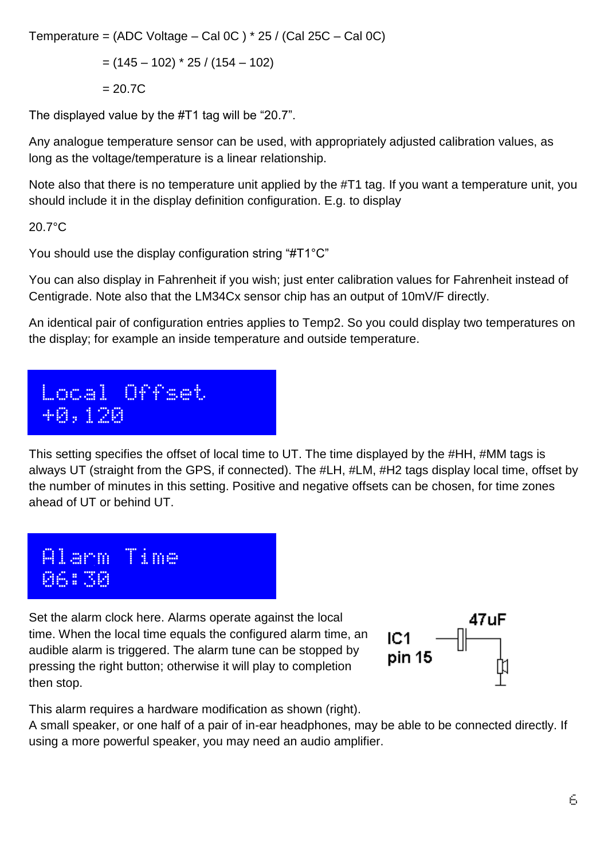Temperature = (ADC Voltage – Cal 0C ) \* 25 / (Cal 25C – Cal 0C)

$$
= (145 - 102) * 25 / (154 - 102)
$$

 $= 20.7C$ 

The displayed value by the #T1 tag will be "20.7".

Any analogue temperature sensor can be used, with appropriately adjusted calibration values, as long as the voltage/temperature is a linear relationship.

Note also that there is no temperature unit applied by the #T1 tag. If you want a temperature unit, you should include it in the display definition configuration. E.g. to display

20.7°C

You should use the display configuration string "#T1°C"

You can also display in Fahrenheit if you wish; just enter calibration values for Fahrenheit instead of Centigrade. Note also that the LM34Cx sensor chip has an output of 10mV/F directly.

An identical pair of configuration entries applies to Temp2. So you could display two temperatures on the display; for example an inside temperature and outside temperature.

Local Offset +0,120

This setting specifies the offset of local time to UT. The time displayed by the #HH, #MM tags is always UT (straight from the GPS, if connected). The #LH, #LM, #H2 tags display local time, offset by the number of minutes in this setting. Positive and negative offsets can be chosen, for time zones ahead of UT or behind UT.



Set the alarm clock here. Alarms operate against the local time. When the local time equals the configured alarm time, an audible alarm is triggered. The alarm tune can be stopped by pressing the right button; otherwise it will play to completion then stop.



This alarm requires a hardware modification as shown (right).

A small speaker, or one half of a pair of in-ear headphones, may be able to be connected directly. If using a more powerful speaker, you may need an audio amplifier.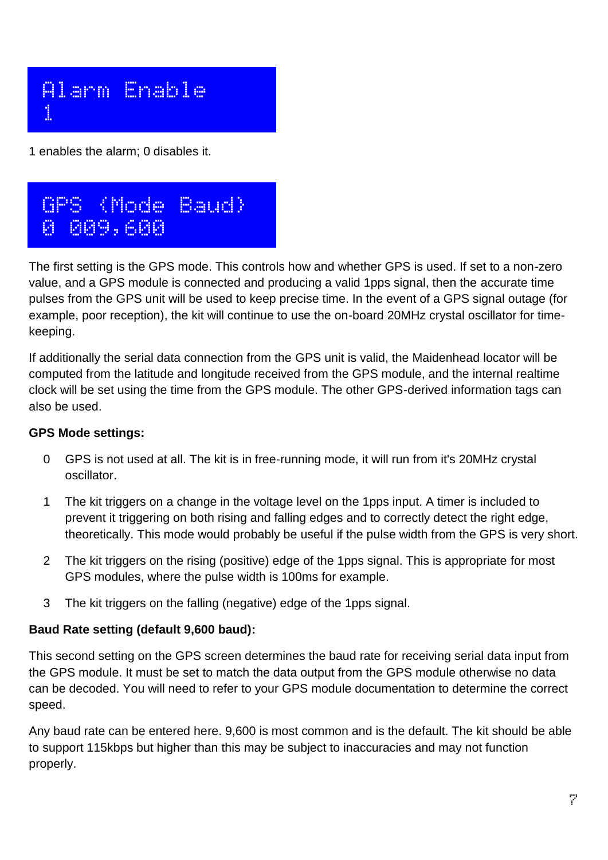## Alarm Enable 1

1 enables the alarm; 0 disables it.



The first setting is the GPS mode. This controls how and whether GPS is used. If set to a non-zero value, and a GPS module is connected and producing a valid 1pps signal, then the accurate time pulses from the GPS unit will be used to keep precise time. In the event of a GPS signal outage (for example, poor reception), the kit will continue to use the on-board 20MHz crystal oscillator for timekeeping.

If additionally the serial data connection from the GPS unit is valid, the Maidenhead locator will be computed from the latitude and longitude received from the GPS module, and the internal realtime clock will be set using the time from the GPS module. The other GPS-derived information tags can also be used.

#### **GPS Mode settings:**

- 0 GPS is not used at all. The kit is in free-running mode, it will run from it's 20MHz crystal oscillator.
- 1 The kit triggers on a change in the voltage level on the 1pps input. A timer is included to prevent it triggering on both rising and falling edges and to correctly detect the right edge, theoretically. This mode would probably be useful if the pulse width from the GPS is very short.
- 2 The kit triggers on the rising (positive) edge of the 1pps signal. This is appropriate for most GPS modules, where the pulse width is 100ms for example.
- 3 The kit triggers on the falling (negative) edge of the 1pps signal.

#### **Baud Rate setting (default 9,600 baud):**

This second setting on the GPS screen determines the baud rate for receiving serial data input from the GPS module. It must be set to match the data output from the GPS module otherwise no data can be decoded. You will need to refer to your GPS module documentation to determine the correct speed.

Any baud rate can be entered here. 9,600 is most common and is the default. The kit should be able to support 115kbps but higher than this may be subject to inaccuracies and may not function properly.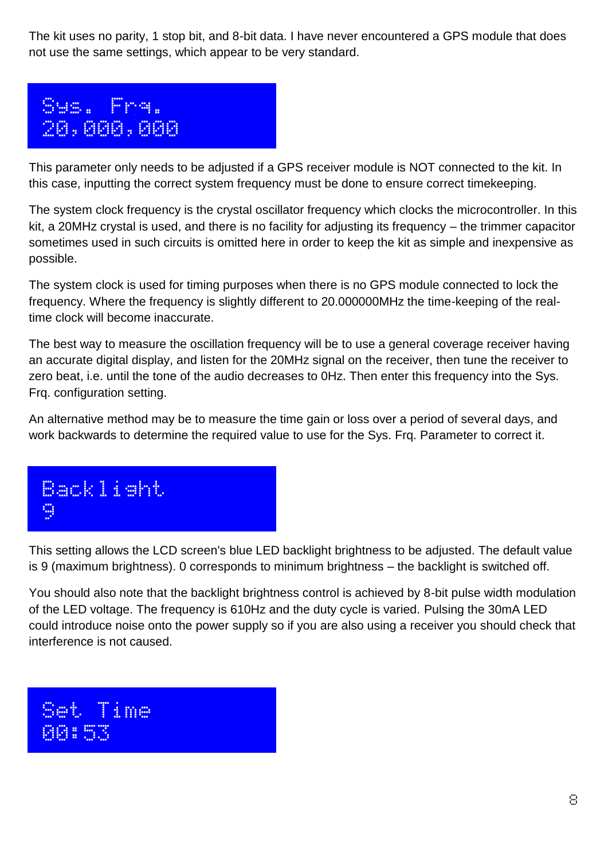The kit uses no parity, 1 stop bit, and 8-bit data. I have never encountered a GPS module that does not use the same settings, which appear to be very standard.



This parameter only needs to be adjusted if a GPS receiver module is NOT connected to the kit. In this case, inputting the correct system frequency must be done to ensure correct timekeeping.

The system clock frequency is the crystal oscillator frequency which clocks the microcontroller. In this kit, a 20MHz crystal is used, and there is no facility for adjusting its frequency – the trimmer capacitor sometimes used in such circuits is omitted here in order to keep the kit as simple and inexpensive as possible.

The system clock is used for timing purposes when there is no GPS module connected to lock the frequency. Where the frequency is slightly different to 20.000000MHz the time-keeping of the realtime clock will become inaccurate.

The best way to measure the oscillation frequency will be to use a general coverage receiver having an accurate digital display, and listen for the 20MHz signal on the receiver, then tune the receiver to zero beat, i.e. until the tone of the audio decreases to 0Hz. Then enter this frequency into the Sys. Frq. configuration setting.

An alternative method may be to measure the time gain or loss over a period of several days, and work backwards to determine the required value to use for the Sys. Frq. Parameter to correct it.



This setting allows the LCD screen's blue LED backlight brightness to be adjusted. The default value is 9 (maximum brightness). 0 corresponds to minimum brightness – the backlight is switched off.

You should also note that the backlight brightness control is achieved by 8-bit pulse width modulation of the LED voltage. The frequency is 610Hz and the duty cycle is varied. Pulsing the 30mA LED could introduce noise onto the power supply so if you are also using a receiver you should check that interference is not caused.

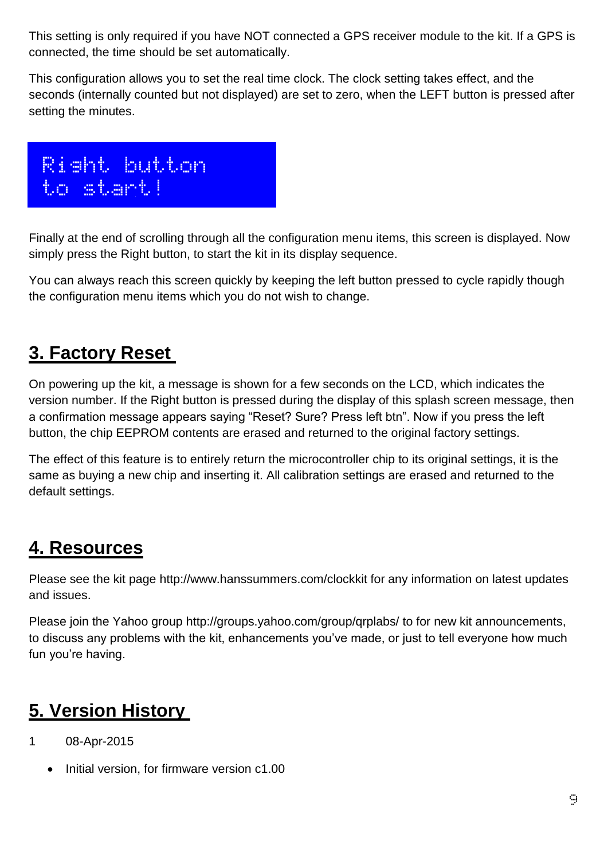This setting is only required if you have NOT connected a GPS receiver module to the kit. If a GPS is connected, the time should be set automatically.

This configuration allows you to set the real time clock. The clock setting takes effect, and the seconds (internally counted but not displayed) are set to zero, when the LEFT button is pressed after setting the minutes.



Finally at the end of scrolling through all the configuration menu items, this screen is displayed. Now simply press the Right button, to start the kit in its display sequence.

You can always reach this screen quickly by keeping the left button pressed to cycle rapidly though the configuration menu items which you do not wish to change.

### **3. Factory Reset**

On powering up the kit, a message is shown for a few seconds on the LCD, which indicates the version number. If the Right button is pressed during the display of this splash screen message, then a confirmation message appears saying "Reset? Sure? Press left btn". Now if you press the left button, the chip EEPROM contents are erased and returned to the original factory settings.

The effect of this feature is to entirely return the microcontroller chip to its original settings, it is the same as buying a new chip and inserting it. All calibration settings are erased and returned to the default settings.

### **4. Resources**

Please see the kit page http://www.hanssummers.com/clockkit for any information on latest updates and issues.

Please join the Yahoo group http://groups.yahoo.com/group/qrplabs/ to for new kit announcements, to discuss any problems with the kit, enhancements you've made, or just to tell everyone how much fun you're having.

### **5. Version History**

- 1 08-Apr-2015
	- Initial version, for firmware version c1.00